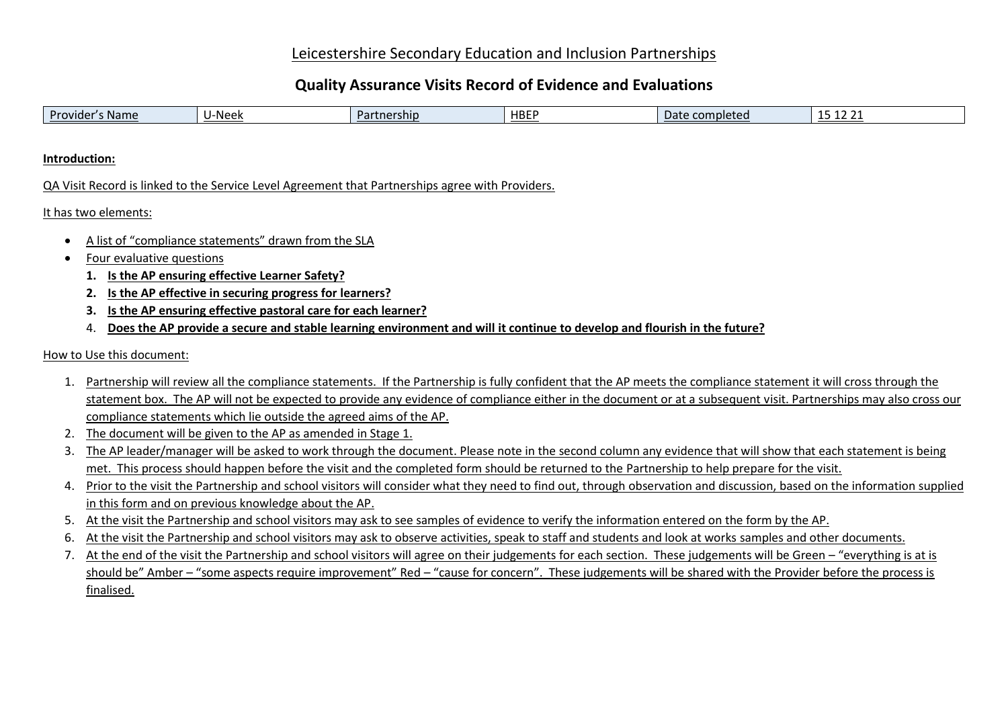# Leicestershire Secondary Education and Inclusion Partnerships

# **Quality Assurance Visits Record of Evidence and Evaluations**

| ----<br>-- | Provider<br>·Neek<br><b>Name</b><br><u>ership</u><br>$\sim$<br>u | <b>HBEP</b> | completed<br>vau | $\sim$ $\sim$ |  |
|------------|------------------------------------------------------------------|-------------|------------------|---------------|--|
|------------|------------------------------------------------------------------|-------------|------------------|---------------|--|

**Introduction:**

QA Visit Record is linked to the Service Level Agreement that Partnerships agree with Providers.

It has two elements:

- A list of "compliance statements" drawn from the SLA
- Four evaluative questions
	- **1. Is the AP ensuring effective Learner Safety?**
	- **2. Is the AP effective in securing progress for learners?**
	- **3. Is the AP ensuring effective pastoral care for each learner?**
	- 4. **Does the AP provide a secure and stable learning environment and will it continue to develop and flourish in the future?**

How to Use this document:

- 1. Partnership will review all the compliance statements. If the Partnership is fully confident that the AP meets the compliance statement it will cross through the statement box. The AP will not be expected to provide any evidence of compliance either in the document or at a subsequent visit. Partnerships may also cross our compliance statements which lie outside the agreed aims of the AP.
- 2. The document will be given to the AP as amended in Stage 1.
- 3. The AP leader/manager will be asked to work through the document. Please note in the second column any evidence that will show that each statement is being met. This process should happen before the visit and the completed form should be returned to the Partnership to help prepare for the visit.
- 4. Prior to the visit the Partnership and school visitors will consider what they need to find out, through observation and discussion, based on the information supplied in this form and on previous knowledge about the AP.
- 5. At the visit the Partnership and school visitors may ask to see samples of evidence to verify the information entered on the form by the AP.
- 6. At the visit the Partnership and school visitors may ask to observe activities, speak to staff and students and look at works samples and other documents.
- 7. At the end of the visit the Partnership and school visitors will agree on their judgements for each section. These judgements will be Green "everything is at is should be" Amber – "some aspects require improvement" Red – "cause for concern". These judgements will be shared with the Provider before the process is finalised.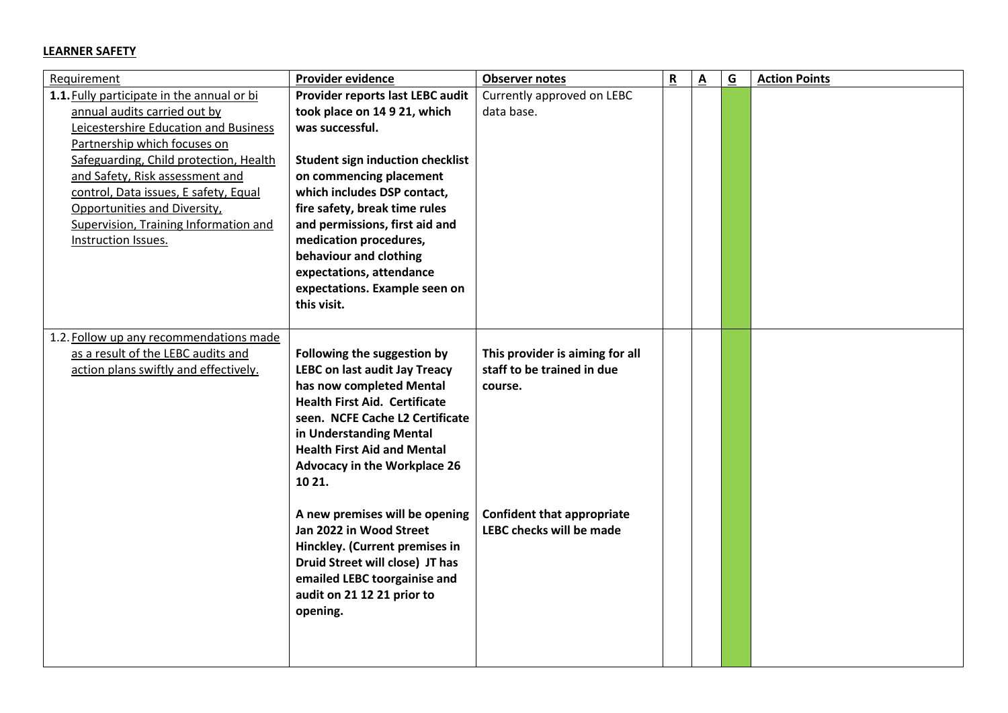#### **LEARNER SAFETY**

| Requirement                                | Provider evidence                                                | <b>Observer notes</b>                                         | $\overline{\mathbf{R}}$ | $\underline{\mathbf{A}}$ | $\underline{\mathsf{G}}$ | <b>Action Points</b> |
|--------------------------------------------|------------------------------------------------------------------|---------------------------------------------------------------|-------------------------|--------------------------|--------------------------|----------------------|
| 1.1. Fully participate in the annual or bi | Provider reports last LEBC audit                                 | Currently approved on LEBC                                    |                         |                          |                          |                      |
| annual audits carried out by               | took place on 14 9 21, which                                     | data base.                                                    |                         |                          |                          |                      |
| Leicestershire Education and Business      | was successful.                                                  |                                                               |                         |                          |                          |                      |
| Partnership which focuses on               |                                                                  |                                                               |                         |                          |                          |                      |
| Safeguarding, Child protection, Health     | <b>Student sign induction checklist</b>                          |                                                               |                         |                          |                          |                      |
| and Safety, Risk assessment and            | on commencing placement                                          |                                                               |                         |                          |                          |                      |
| control, Data issues, E safety, Equal      | which includes DSP contact,                                      |                                                               |                         |                          |                          |                      |
| Opportunities and Diversity,               | fire safety, break time rules                                    |                                                               |                         |                          |                          |                      |
| Supervision, Training Information and      | and permissions, first aid and                                   |                                                               |                         |                          |                          |                      |
| Instruction Issues.                        | medication procedures,                                           |                                                               |                         |                          |                          |                      |
|                                            | behaviour and clothing                                           |                                                               |                         |                          |                          |                      |
|                                            | expectations, attendance                                         |                                                               |                         |                          |                          |                      |
|                                            | expectations. Example seen on                                    |                                                               |                         |                          |                          |                      |
|                                            | this visit.                                                      |                                                               |                         |                          |                          |                      |
|                                            |                                                                  |                                                               |                         |                          |                          |                      |
| 1.2. Follow up any recommendations made    |                                                                  |                                                               |                         |                          |                          |                      |
| as a result of the LEBC audits and         | Following the suggestion by                                      | This provider is aiming for all<br>staff to be trained in due |                         |                          |                          |                      |
| action plans swiftly and effectively.      | <b>LEBC on last audit Jay Treacy</b>                             |                                                               |                         |                          |                          |                      |
|                                            | has now completed Mental<br><b>Health First Aid. Certificate</b> | course.                                                       |                         |                          |                          |                      |
|                                            | seen. NCFE Cache L2 Certificate                                  |                                                               |                         |                          |                          |                      |
|                                            |                                                                  |                                                               |                         |                          |                          |                      |
|                                            | in Understanding Mental<br><b>Health First Aid and Mental</b>    |                                                               |                         |                          |                          |                      |
|                                            |                                                                  |                                                               |                         |                          |                          |                      |
|                                            | <b>Advocacy in the Workplace 26</b><br>10 21.                    |                                                               |                         |                          |                          |                      |
|                                            |                                                                  |                                                               |                         |                          |                          |                      |
|                                            | A new premises will be opening                                   | <b>Confident that appropriate</b>                             |                         |                          |                          |                      |
|                                            | Jan 2022 in Wood Street                                          | <b>LEBC checks will be made</b>                               |                         |                          |                          |                      |
|                                            | Hinckley. (Current premises in                                   |                                                               |                         |                          |                          |                      |
|                                            | Druid Street will close) JT has                                  |                                                               |                         |                          |                          |                      |
|                                            | emailed LEBC toorgainise and                                     |                                                               |                         |                          |                          |                      |
|                                            | audit on 21 12 21 prior to                                       |                                                               |                         |                          |                          |                      |
|                                            | opening.                                                         |                                                               |                         |                          |                          |                      |
|                                            |                                                                  |                                                               |                         |                          |                          |                      |
|                                            |                                                                  |                                                               |                         |                          |                          |                      |
|                                            |                                                                  |                                                               |                         |                          |                          |                      |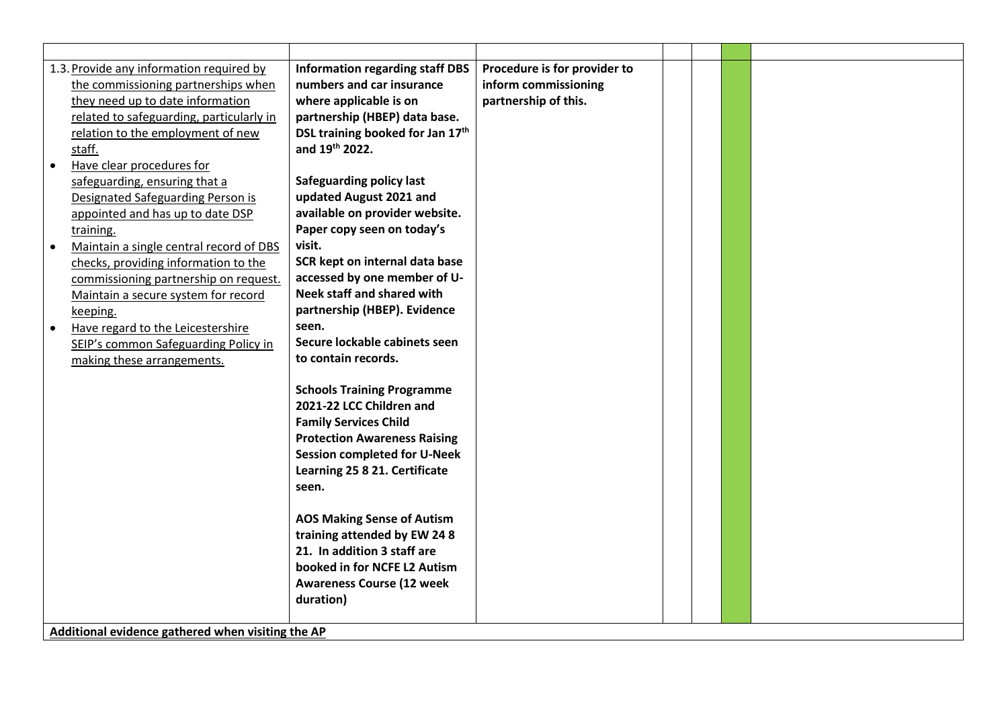|           | 1.3. Provide any information required by          | <b>Information regarding staff DBS</b> | Procedure is for provider to |  |  |
|-----------|---------------------------------------------------|----------------------------------------|------------------------------|--|--|
|           | the commissioning partnerships when               | numbers and car insurance              | inform commissioning         |  |  |
|           | they need up to date information                  | where applicable is on                 | partnership of this.         |  |  |
|           | related to safeguarding, particularly in          | partnership (HBEP) data base.          |                              |  |  |
|           | relation to the employment of new                 | DSL training booked for Jan 17th       |                              |  |  |
|           | staff.                                            | and 19th 2022.                         |                              |  |  |
| $\bullet$ | Have clear procedures for                         |                                        |                              |  |  |
|           | safeguarding, ensuring that a                     | <b>Safeguarding policy last</b>        |                              |  |  |
|           | <b>Designated Safeguarding Person is</b>          | updated August 2021 and                |                              |  |  |
|           | appointed and has up to date DSP                  | available on provider website.         |                              |  |  |
|           | training.                                         | Paper copy seen on today's             |                              |  |  |
| $\bullet$ | Maintain a single central record of DBS           | visit.                                 |                              |  |  |
|           | checks, providing information to the              | SCR kept on internal data base         |                              |  |  |
|           | commissioning partnership on request.             | accessed by one member of U-           |                              |  |  |
|           | Maintain a secure system for record               | <b>Neek staff and shared with</b>      |                              |  |  |
|           | keeping.                                          | partnership (HBEP). Evidence           |                              |  |  |
| $\bullet$ | Have regard to the Leicestershire                 | seen.                                  |                              |  |  |
|           | SEIP's common Safeguarding Policy in              | Secure lockable cabinets seen          |                              |  |  |
|           | making these arrangements.                        | to contain records.                    |                              |  |  |
|           |                                                   |                                        |                              |  |  |
|           |                                                   | <b>Schools Training Programme</b>      |                              |  |  |
|           |                                                   | 2021-22 LCC Children and               |                              |  |  |
|           |                                                   | <b>Family Services Child</b>           |                              |  |  |
|           |                                                   | <b>Protection Awareness Raising</b>    |                              |  |  |
|           |                                                   | <b>Session completed for U-Neek</b>    |                              |  |  |
|           |                                                   | Learning 25 8 21. Certificate          |                              |  |  |
|           |                                                   | seen.                                  |                              |  |  |
|           |                                                   |                                        |                              |  |  |
|           |                                                   | <b>AOS Making Sense of Autism</b>      |                              |  |  |
|           |                                                   | training attended by EW 24 8           |                              |  |  |
|           |                                                   | 21. In addition 3 staff are            |                              |  |  |
|           |                                                   | booked in for NCFE L2 Autism           |                              |  |  |
|           |                                                   | <b>Awareness Course (12 week</b>       |                              |  |  |
|           |                                                   | duration)                              |                              |  |  |
|           |                                                   |                                        |                              |  |  |
|           | Additional evidence gathered when visiting the AP |                                        |                              |  |  |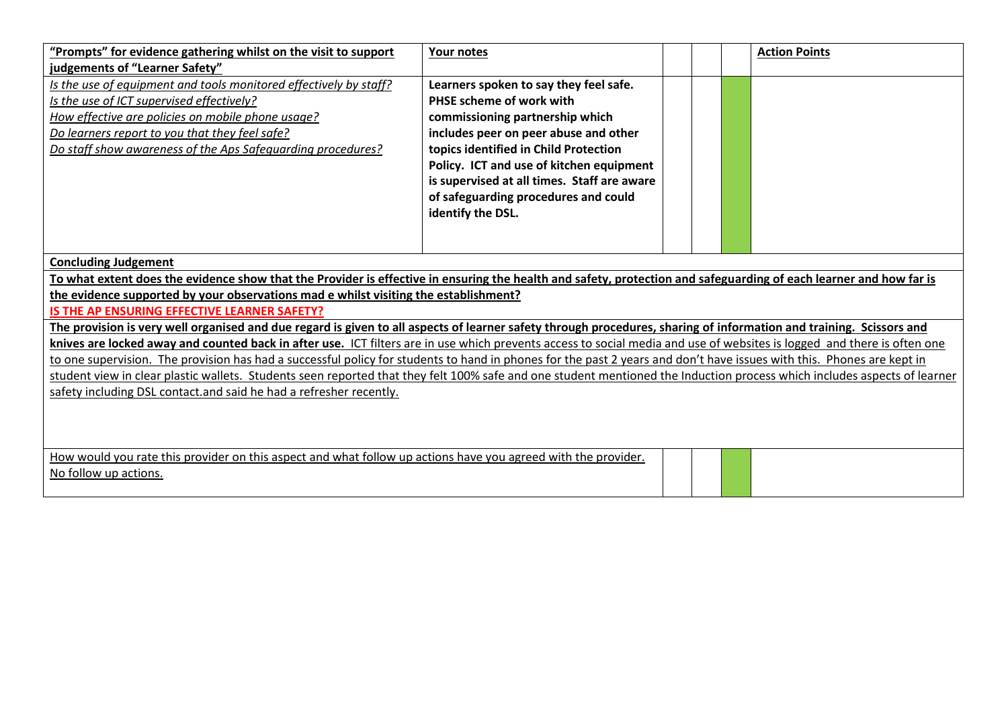| "Prompts" for evidence gathering whilst on the visit to support                                                                                                          | Your notes                                  |  |  | <b>Action Points</b> |  |  |  |  |
|--------------------------------------------------------------------------------------------------------------------------------------------------------------------------|---------------------------------------------|--|--|----------------------|--|--|--|--|
| judgements of "Learner Safety"                                                                                                                                           |                                             |  |  |                      |  |  |  |  |
| Is the use of equipment and tools monitored effectively by staff?                                                                                                        | Learners spoken to say they feel safe.      |  |  |                      |  |  |  |  |
| Is the use of ICT supervised effectively?                                                                                                                                | PHSE scheme of work with                    |  |  |                      |  |  |  |  |
| How effective are policies on mobile phone usage?                                                                                                                        | commissioning partnership which             |  |  |                      |  |  |  |  |
| Do learners report to you that they feel safe?                                                                                                                           | includes peer on peer abuse and other       |  |  |                      |  |  |  |  |
| Do staff show awareness of the Aps Safequarding procedures?                                                                                                              | topics identified in Child Protection       |  |  |                      |  |  |  |  |
|                                                                                                                                                                          | Policy. ICT and use of kitchen equipment    |  |  |                      |  |  |  |  |
|                                                                                                                                                                          | is supervised at all times. Staff are aware |  |  |                      |  |  |  |  |
|                                                                                                                                                                          | of safeguarding procedures and could        |  |  |                      |  |  |  |  |
|                                                                                                                                                                          | identify the DSL.                           |  |  |                      |  |  |  |  |
|                                                                                                                                                                          |                                             |  |  |                      |  |  |  |  |
|                                                                                                                                                                          |                                             |  |  |                      |  |  |  |  |
| <b>Concluding Judgement</b>                                                                                                                                              |                                             |  |  |                      |  |  |  |  |
| To what extent does the evidence show that the Provider is effective in ensuring the health and safety, protection and safeguarding of each learner and how far is       |                                             |  |  |                      |  |  |  |  |
| the evidence supported by your observations mad e whilst visiting the establishment?                                                                                     |                                             |  |  |                      |  |  |  |  |
| IS THE AP ENSURING EFFECTIVE LEARNER SAFETY?                                                                                                                             |                                             |  |  |                      |  |  |  |  |
| The provision is very well organised and due regard is given to all aspects of learner safety through procedures, sharing of information and training. Scissors and      |                                             |  |  |                      |  |  |  |  |
| knives are locked away and counted back in after use. ICT filters are in use which prevents access to social media and use of websites is logged and there is often one  |                                             |  |  |                      |  |  |  |  |
| to one supervision. The provision has had a successful policy for students to hand in phones for the past 2 years and don't have issues with this. Phones are kept in    |                                             |  |  |                      |  |  |  |  |
| student view in clear plastic wallets. Students seen reported that they felt 100% safe and one student mentioned the Induction process which includes aspects of learner |                                             |  |  |                      |  |  |  |  |
| safety including DSL contact.and said he had a refresher recently.                                                                                                       |                                             |  |  |                      |  |  |  |  |
|                                                                                                                                                                          |                                             |  |  |                      |  |  |  |  |
|                                                                                                                                                                          |                                             |  |  |                      |  |  |  |  |
|                                                                                                                                                                          |                                             |  |  |                      |  |  |  |  |
| How would you rate this provider on this aspect and what follow up actions have you agreed with the provider.                                                            |                                             |  |  |                      |  |  |  |  |
| No follow up actions.                                                                                                                                                    |                                             |  |  |                      |  |  |  |  |
|                                                                                                                                                                          |                                             |  |  |                      |  |  |  |  |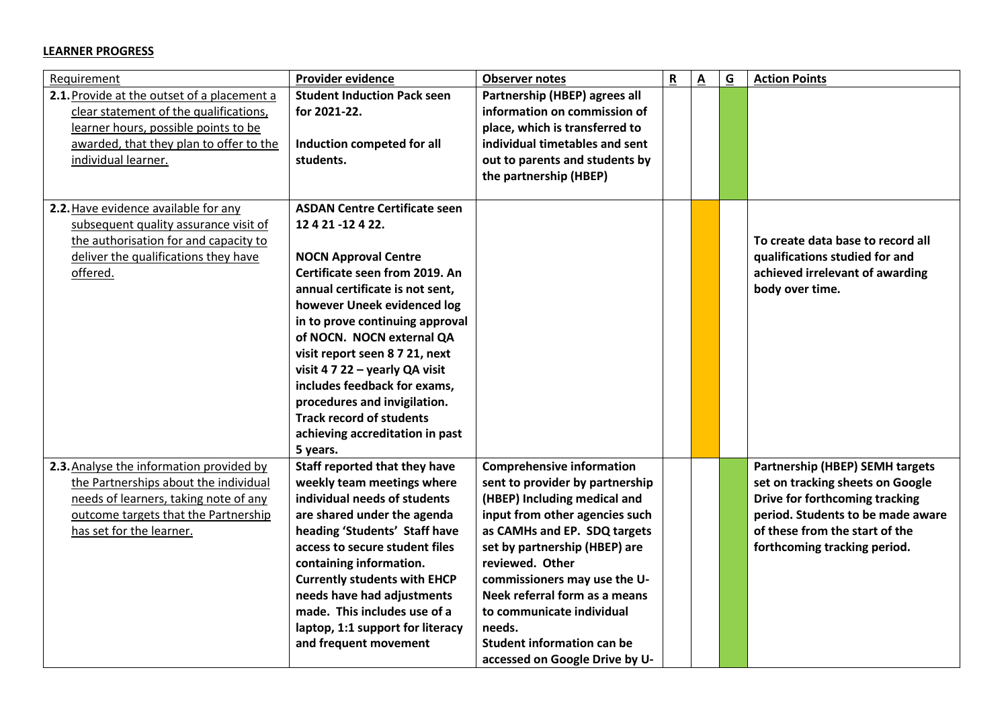#### **LEARNER PROGRESS**

| Requirement                                 | <b>Provider evidence</b>             | <b>Observer notes</b>             | $\mathbf R$ | $\underline{\mathsf{A}}$ | $\overline{G}$ | <b>Action Points</b>                   |
|---------------------------------------------|--------------------------------------|-----------------------------------|-------------|--------------------------|----------------|----------------------------------------|
| 2.1. Provide at the outset of a placement a | <b>Student Induction Pack seen</b>   | Partnership (HBEP) agrees all     |             |                          |                |                                        |
| clear statement of the qualifications,      | for 2021-22.                         | information on commission of      |             |                          |                |                                        |
| learner hours, possible points to be        |                                      | place, which is transferred to    |             |                          |                |                                        |
| awarded, that they plan to offer to the     | Induction competed for all           | individual timetables and sent    |             |                          |                |                                        |
| individual learner.                         | students.                            | out to parents and students by    |             |                          |                |                                        |
|                                             |                                      | the partnership (HBEP)            |             |                          |                |                                        |
|                                             |                                      |                                   |             |                          |                |                                        |
| 2.2. Have evidence available for any        | <b>ASDAN Centre Certificate seen</b> |                                   |             |                          |                |                                        |
| subsequent quality assurance visit of       | 12 4 21 -12 4 22.                    |                                   |             |                          |                |                                        |
| the authorisation for and capacity to       |                                      |                                   |             |                          |                | To create data base to record all      |
| deliver the qualifications they have        | <b>NOCN Approval Centre</b>          |                                   |             |                          |                | qualifications studied for and         |
| offered.                                    | Certificate seen from 2019. An       |                                   |             |                          |                | achieved irrelevant of awarding        |
|                                             | annual certificate is not sent,      |                                   |             |                          |                | body over time.                        |
|                                             | however Uneek evidenced log          |                                   |             |                          |                |                                        |
|                                             | in to prove continuing approval      |                                   |             |                          |                |                                        |
|                                             | of NOCN. NOCN external QA            |                                   |             |                          |                |                                        |
|                                             | visit report seen 8 7 21, next       |                                   |             |                          |                |                                        |
|                                             | visit 4 7 22 - yearly QA visit       |                                   |             |                          |                |                                        |
|                                             | includes feedback for exams,         |                                   |             |                          |                |                                        |
|                                             | procedures and invigilation.         |                                   |             |                          |                |                                        |
|                                             | <b>Track record of students</b>      |                                   |             |                          |                |                                        |
|                                             | achieving accreditation in past      |                                   |             |                          |                |                                        |
|                                             | 5 years.                             |                                   |             |                          |                |                                        |
| 2.3. Analyse the information provided by    | Staff reported that they have        | <b>Comprehensive information</b>  |             |                          |                | <b>Partnership (HBEP) SEMH targets</b> |
| the Partnerships about the individual       | weekly team meetings where           | sent to provider by partnership   |             |                          |                | set on tracking sheets on Google       |
| needs of learners, taking note of any       | individual needs of students         | (HBEP) Including medical and      |             |                          |                | Drive for forthcoming tracking         |
| outcome targets that the Partnership        | are shared under the agenda          | input from other agencies such    |             |                          |                | period. Students to be made aware      |
| has set for the learner.                    | heading 'Students' Staff have        | as CAMHs and EP. SDQ targets      |             |                          |                | of these from the start of the         |
|                                             | access to secure student files       | set by partnership (HBEP) are     |             |                          |                | forthcoming tracking period.           |
|                                             | containing information.              | reviewed. Other                   |             |                          |                |                                        |
|                                             | <b>Currently students with EHCP</b>  | commissioners may use the U-      |             |                          |                |                                        |
|                                             | needs have had adjustments           | Neek referral form as a means     |             |                          |                |                                        |
|                                             | made. This includes use of a         | to communicate individual         |             |                          |                |                                        |
|                                             | laptop, 1:1 support for literacy     | needs.                            |             |                          |                |                                        |
|                                             | and frequent movement                | <b>Student information can be</b> |             |                          |                |                                        |
|                                             |                                      | accessed on Google Drive by U-    |             |                          |                |                                        |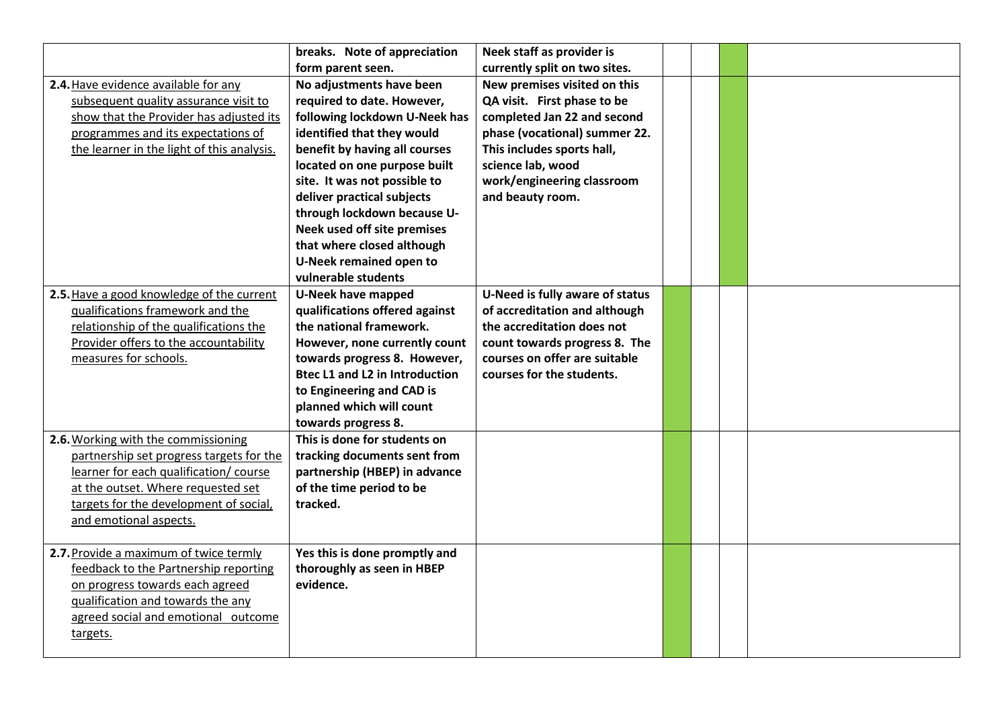|                                            | breaks. Note of appreciation          | Neek staff as provider is       |  |  |
|--------------------------------------------|---------------------------------------|---------------------------------|--|--|
|                                            | form parent seen.                     | currently split on two sites.   |  |  |
| 2.4. Have evidence available for any       | No adjustments have been              | New premises visited on this    |  |  |
| subsequent quality assurance visit to      | required to date. However,            | QA visit. First phase to be     |  |  |
| show that the Provider has adjusted its    | following lockdown U-Neek has         | completed Jan 22 and second     |  |  |
| programmes and its expectations of         | identified that they would            | phase (vocational) summer 22.   |  |  |
| the learner in the light of this analysis. | benefit by having all courses         | This includes sports hall,      |  |  |
|                                            | located on one purpose built          | science lab, wood               |  |  |
|                                            | site. It was not possible to          | work/engineering classroom      |  |  |
|                                            | deliver practical subjects            | and beauty room.                |  |  |
|                                            | through lockdown because U-           |                                 |  |  |
|                                            | Neek used off site premises           |                                 |  |  |
|                                            | that where closed although            |                                 |  |  |
|                                            | U-Neek remained open to               |                                 |  |  |
|                                            | vulnerable students                   |                                 |  |  |
| 2.5. Have a good knowledge of the current  | <b>U-Neek have mapped</b>             | U-Need is fully aware of status |  |  |
| qualifications framework and the           | qualifications offered against        | of accreditation and although   |  |  |
| relationship of the qualifications the     | the national framework.               | the accreditation does not      |  |  |
| Provider offers to the accountability      | However, none currently count         | count towards progress 8. The   |  |  |
| measures for schools.                      | towards progress 8. However,          | courses on offer are suitable   |  |  |
|                                            | <b>Btec L1 and L2 in Introduction</b> | courses for the students.       |  |  |
|                                            | to Engineering and CAD is             |                                 |  |  |
|                                            | planned which will count              |                                 |  |  |
|                                            | towards progress 8.                   |                                 |  |  |
| 2.6. Working with the commissioning        | This is done for students on          |                                 |  |  |
| partnership set progress targets for the   | tracking documents sent from          |                                 |  |  |
| learner for each qualification/ course     | partnership (HBEP) in advance         |                                 |  |  |
| at the outset. Where requested set         | of the time period to be              |                                 |  |  |
| targets for the development of social,     | tracked.                              |                                 |  |  |
| and emotional aspects.                     |                                       |                                 |  |  |
|                                            |                                       |                                 |  |  |
| 2.7. Provide a maximum of twice termly     | Yes this is done promptly and         |                                 |  |  |
| feedback to the Partnership reporting      | thoroughly as seen in HBEP            |                                 |  |  |
| on progress towards each agreed            | evidence.                             |                                 |  |  |
| qualification and towards the any          |                                       |                                 |  |  |
| agreed social and emotional outcome        |                                       |                                 |  |  |
| targets.                                   |                                       |                                 |  |  |
|                                            |                                       |                                 |  |  |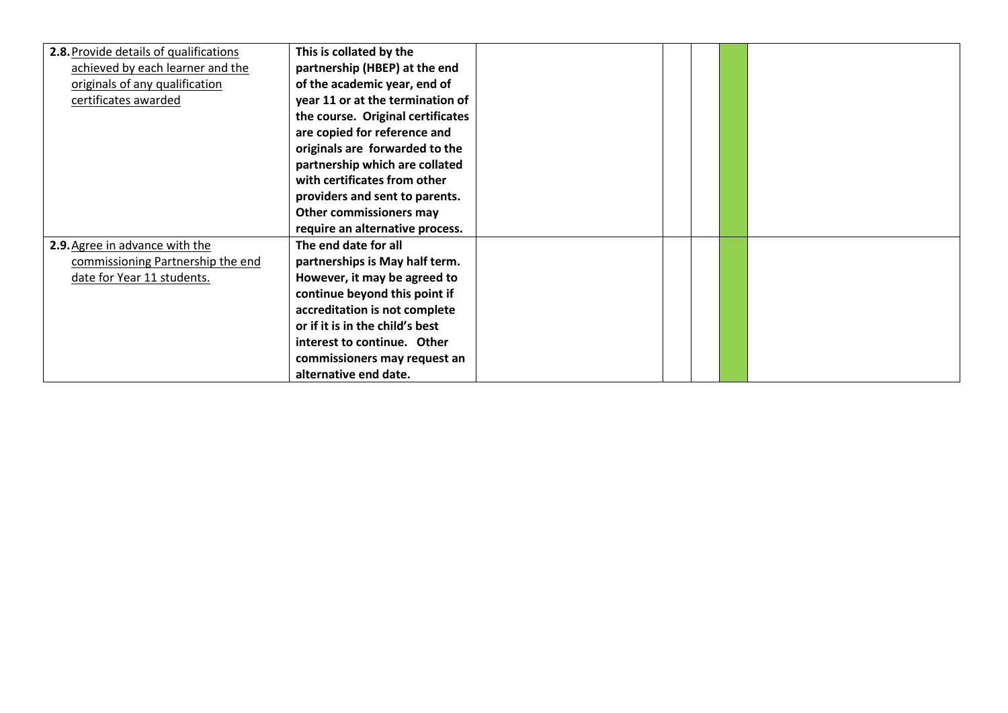| 2.8. Provide details of qualifications | This is collated by the           |  |  |  |
|----------------------------------------|-----------------------------------|--|--|--|
| achieved by each learner and the       | partnership (HBEP) at the end     |  |  |  |
| originals of any qualification         | of the academic year, end of      |  |  |  |
| certificates awarded                   | year 11 or at the termination of  |  |  |  |
|                                        | the course. Original certificates |  |  |  |
|                                        | are copied for reference and      |  |  |  |
|                                        | originals are forwarded to the    |  |  |  |
|                                        | partnership which are collated    |  |  |  |
|                                        | with certificates from other      |  |  |  |
|                                        | providers and sent to parents.    |  |  |  |
|                                        | Other commissioners may           |  |  |  |
|                                        | require an alternative process.   |  |  |  |
| 2.9. Agree in advance with the         | The end date for all              |  |  |  |
| commissioning Partnership the end      | partnerships is May half term.    |  |  |  |
| date for Year 11 students.             | However, it may be agreed to      |  |  |  |
|                                        | continue beyond this point if     |  |  |  |
|                                        | accreditation is not complete     |  |  |  |
|                                        | or if it is in the child's best   |  |  |  |
|                                        | interest to continue. Other       |  |  |  |
|                                        | commissioners may request an      |  |  |  |
|                                        | alternative end date.             |  |  |  |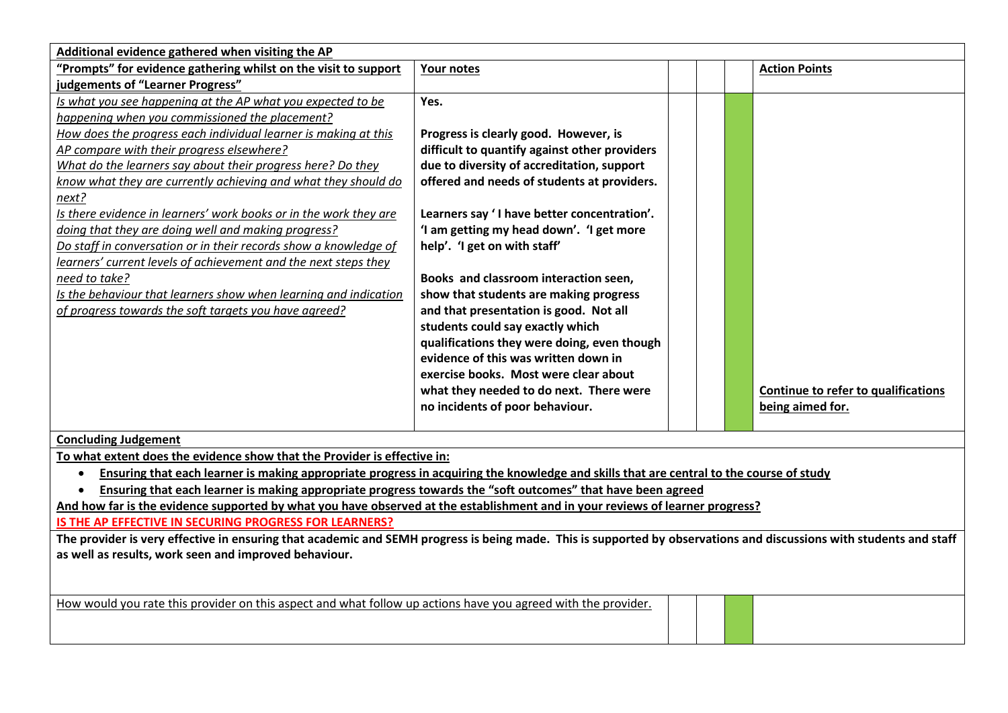| Additional evidence gathered when visiting the AP<br>"Prompts" for evidence gathering whilst on the visit to support<br><b>Action Points</b><br>Your notes<br>judgements of "Learner Progress"<br>Is what you see happening at the AP what you expected to be<br>Yes.<br>happening when you commissioned the placement?<br>How does the progress each individual learner is making at this<br>Progress is clearly good. However, is<br>AP compare with their progress elsewhere?<br>difficult to quantify against other providers<br>What do the learners say about their progress here? Do they<br>due to diversity of accreditation, support<br>know what they are currently achieving and what they should do<br>offered and needs of students at providers. |
|-----------------------------------------------------------------------------------------------------------------------------------------------------------------------------------------------------------------------------------------------------------------------------------------------------------------------------------------------------------------------------------------------------------------------------------------------------------------------------------------------------------------------------------------------------------------------------------------------------------------------------------------------------------------------------------------------------------------------------------------------------------------|
|                                                                                                                                                                                                                                                                                                                                                                                                                                                                                                                                                                                                                                                                                                                                                                 |
|                                                                                                                                                                                                                                                                                                                                                                                                                                                                                                                                                                                                                                                                                                                                                                 |
|                                                                                                                                                                                                                                                                                                                                                                                                                                                                                                                                                                                                                                                                                                                                                                 |
|                                                                                                                                                                                                                                                                                                                                                                                                                                                                                                                                                                                                                                                                                                                                                                 |
|                                                                                                                                                                                                                                                                                                                                                                                                                                                                                                                                                                                                                                                                                                                                                                 |
|                                                                                                                                                                                                                                                                                                                                                                                                                                                                                                                                                                                                                                                                                                                                                                 |
|                                                                                                                                                                                                                                                                                                                                                                                                                                                                                                                                                                                                                                                                                                                                                                 |
|                                                                                                                                                                                                                                                                                                                                                                                                                                                                                                                                                                                                                                                                                                                                                                 |
| next?                                                                                                                                                                                                                                                                                                                                                                                                                                                                                                                                                                                                                                                                                                                                                           |
| Is there evidence in learners' work books or in the work they are<br>Learners say 'I have better concentration'.                                                                                                                                                                                                                                                                                                                                                                                                                                                                                                                                                                                                                                                |
| doing that they are doing well and making progress?<br>'I am getting my head down'. 'I get more                                                                                                                                                                                                                                                                                                                                                                                                                                                                                                                                                                                                                                                                 |
| Do staff in conversation or in their records show a knowledge of<br>help'. 'I get on with staff'                                                                                                                                                                                                                                                                                                                                                                                                                                                                                                                                                                                                                                                                |
| learners' current levels of achievement and the next steps they                                                                                                                                                                                                                                                                                                                                                                                                                                                                                                                                                                                                                                                                                                 |
| Books and classroom interaction seen,<br>need to take?                                                                                                                                                                                                                                                                                                                                                                                                                                                                                                                                                                                                                                                                                                          |
| Is the behaviour that learners show when learning and indication<br>show that students are making progress                                                                                                                                                                                                                                                                                                                                                                                                                                                                                                                                                                                                                                                      |
| of progress towards the soft targets you have agreed?<br>and that presentation is good. Not all                                                                                                                                                                                                                                                                                                                                                                                                                                                                                                                                                                                                                                                                 |
| students could say exactly which                                                                                                                                                                                                                                                                                                                                                                                                                                                                                                                                                                                                                                                                                                                                |
| qualifications they were doing, even though                                                                                                                                                                                                                                                                                                                                                                                                                                                                                                                                                                                                                                                                                                                     |
| evidence of this was written down in                                                                                                                                                                                                                                                                                                                                                                                                                                                                                                                                                                                                                                                                                                                            |
| exercise books. Most were clear about                                                                                                                                                                                                                                                                                                                                                                                                                                                                                                                                                                                                                                                                                                                           |
| Continue to refer to qualifications<br>what they needed to do next. There were                                                                                                                                                                                                                                                                                                                                                                                                                                                                                                                                                                                                                                                                                  |
| no incidents of poor behaviour.<br>being aimed for.                                                                                                                                                                                                                                                                                                                                                                                                                                                                                                                                                                                                                                                                                                             |
| <b>Concluding Judgement</b>                                                                                                                                                                                                                                                                                                                                                                                                                                                                                                                                                                                                                                                                                                                                     |
| To what extent does the evidence show that the Provider is effective in:                                                                                                                                                                                                                                                                                                                                                                                                                                                                                                                                                                                                                                                                                        |
| Ensuring that each learner is making appropriate progress in acquiring the knowledge and skills that are central to the course of study<br>$\bullet$                                                                                                                                                                                                                                                                                                                                                                                                                                                                                                                                                                                                            |
| Ensuring that each learner is making appropriate progress towards the "soft outcomes" that have been agreed                                                                                                                                                                                                                                                                                                                                                                                                                                                                                                                                                                                                                                                     |
| And how far is the evidence supported by what you have observed at the establishment and in your reviews of learner progress?                                                                                                                                                                                                                                                                                                                                                                                                                                                                                                                                                                                                                                   |
| IS THE AP EFFECTIVE IN SECURING PROGRESS FOR LEARNERS?                                                                                                                                                                                                                                                                                                                                                                                                                                                                                                                                                                                                                                                                                                          |
| The provider is very effective in ensuring that academic and SEMH progress is being made. This is supported by observations and discussions with students and staff                                                                                                                                                                                                                                                                                                                                                                                                                                                                                                                                                                                             |
| as well as results, work seen and improved behaviour.                                                                                                                                                                                                                                                                                                                                                                                                                                                                                                                                                                                                                                                                                                           |
|                                                                                                                                                                                                                                                                                                                                                                                                                                                                                                                                                                                                                                                                                                                                                                 |

How would you rate this provider on this aspect and what follow up actions have you agreed with the provider.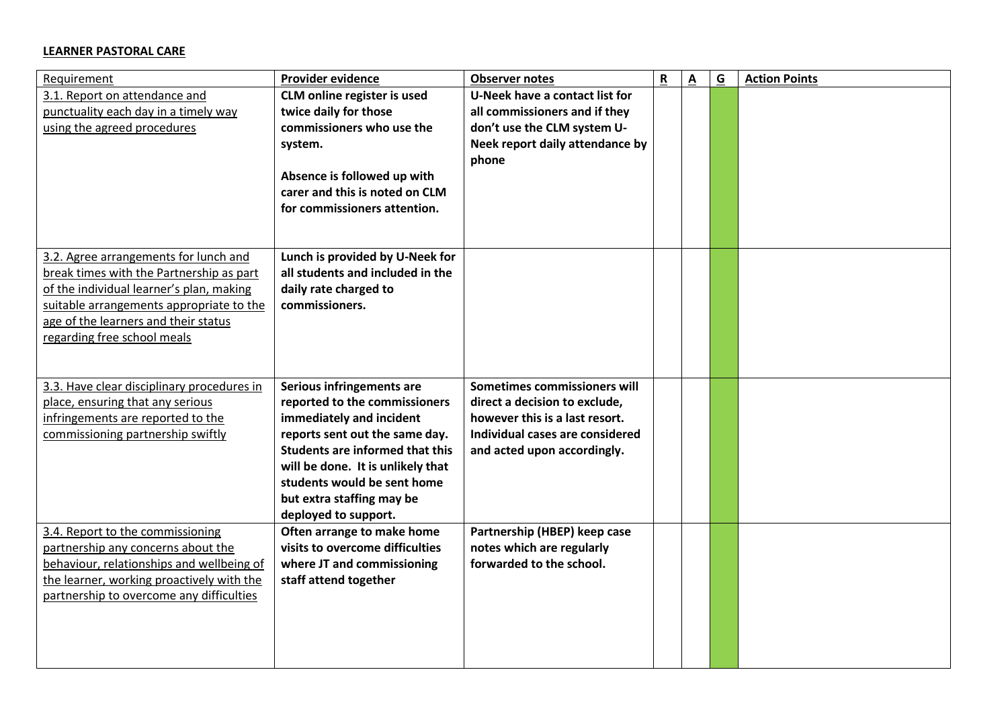## **LEARNER PASTORAL CARE**

| Requirement                                                                                                                                                                                                                                      | <b>Provider evidence</b>                                                                                                                                                                                                                                                                    | <b>Observer notes</b>                                                                                                                                             | $\mathsf R$ | $\overline{\mathbf{A}}$ | $\underline{\mathsf{G}}$ | <b>Action Points</b> |
|--------------------------------------------------------------------------------------------------------------------------------------------------------------------------------------------------------------------------------------------------|---------------------------------------------------------------------------------------------------------------------------------------------------------------------------------------------------------------------------------------------------------------------------------------------|-------------------------------------------------------------------------------------------------------------------------------------------------------------------|-------------|-------------------------|--------------------------|----------------------|
| 3.1. Report on attendance and<br>punctuality each day in a timely way<br>using the agreed procedures                                                                                                                                             | <b>CLM online register is used</b><br>twice daily for those<br>commissioners who use the<br>system.<br>Absence is followed up with<br>carer and this is noted on CLM<br>for commissioners attention.                                                                                        | <b>U-Neek have a contact list for</b><br>all commissioners and if they<br>don't use the CLM system U-<br>Neek report daily attendance by<br>phone                 |             |                         |                          |                      |
| 3.2. Agree arrangements for lunch and<br>break times with the Partnership as part<br>of the individual learner's plan, making<br>suitable arrangements appropriate to the<br>age of the learners and their status<br>regarding free school meals | Lunch is provided by U-Neek for<br>all students and included in the<br>daily rate charged to<br>commissioners.                                                                                                                                                                              |                                                                                                                                                                   |             |                         |                          |                      |
| 3.3. Have clear disciplinary procedures in<br>place, ensuring that any serious<br>infringements are reported to the<br>commissioning partnership swiftly                                                                                         | Serious infringements are<br>reported to the commissioners<br>immediately and incident<br>reports sent out the same day.<br><b>Students are informed that this</b><br>will be done. It is unlikely that<br>students would be sent home<br>but extra staffing may be<br>deployed to support. | Sometimes commissioners will<br>direct a decision to exclude,<br>however this is a last resort.<br>Individual cases are considered<br>and acted upon accordingly. |             |                         |                          |                      |
| 3.4. Report to the commissioning<br>partnership any concerns about the<br>behaviour, relationships and wellbeing of<br>the learner, working proactively with the<br>partnership to overcome any difficulties                                     | Often arrange to make home<br>visits to overcome difficulties<br>where JT and commissioning<br>staff attend together                                                                                                                                                                        | Partnership (HBEP) keep case<br>notes which are regularly<br>forwarded to the school.                                                                             |             |                         |                          |                      |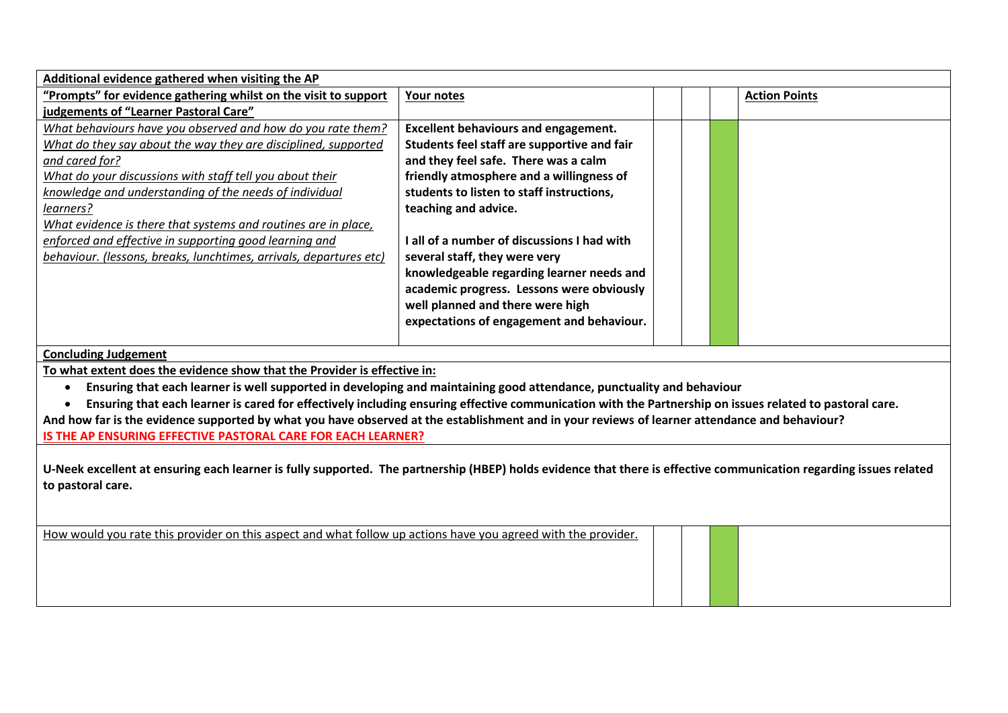| Additional evidence gathered when visiting the AP                                                                                                                    |                                             |  |                      |
|----------------------------------------------------------------------------------------------------------------------------------------------------------------------|---------------------------------------------|--|----------------------|
| "Prompts" for evidence gathering whilst on the visit to support                                                                                                      | Your notes                                  |  | <b>Action Points</b> |
| judgements of "Learner Pastoral Care"                                                                                                                                |                                             |  |                      |
| What behaviours have you observed and how do you rate them?                                                                                                          | <b>Excellent behaviours and engagement.</b> |  |                      |
| What do they say about the way they are disciplined, supported                                                                                                       | Students feel staff are supportive and fair |  |                      |
| and cared for?                                                                                                                                                       | and they feel safe. There was a calm        |  |                      |
| What do your discussions with staff tell you about their                                                                                                             | friendly atmosphere and a willingness of    |  |                      |
| knowledge and understanding of the needs of individual                                                                                                               | students to listen to staff instructions,   |  |                      |
| learners?                                                                                                                                                            | teaching and advice.                        |  |                      |
| What evidence is there that systems and routines are in place,                                                                                                       |                                             |  |                      |
| enforced and effective in supporting good learning and                                                                                                               | I all of a number of discussions I had with |  |                      |
| behaviour. (lessons, breaks, lunchtimes, arrivals, departures etc)                                                                                                   | several staff, they were very               |  |                      |
|                                                                                                                                                                      | knowledgeable regarding learner needs and   |  |                      |
|                                                                                                                                                                      | academic progress. Lessons were obviously   |  |                      |
|                                                                                                                                                                      | well planned and there were high            |  |                      |
|                                                                                                                                                                      | expectations of engagement and behaviour.   |  |                      |
|                                                                                                                                                                      |                                             |  |                      |
| <b>Concluding Judgement</b>                                                                                                                                          |                                             |  |                      |
| To what extent does the evidence show that the Provider is effective in:                                                                                             |                                             |  |                      |
| Ensuring that each learner is well supported in developing and maintaining good attendance, punctuality and behaviour<br>$\bullet$                                   |                                             |  |                      |
| Ensuring that each learner is cared for effectively including ensuring effective communication with the Partnership on issues related to pastoral care.<br>$\bullet$ |                                             |  |                      |
| And how far is the evidence supported by what you have observed at the establishment and in your reviews of learner attendance and behaviour?                        |                                             |  |                      |
| IS THE AP ENSURING EFFECTIVE PASTORAL CARE FOR EACH LEARNER?                                                                                                         |                                             |  |                      |
|                                                                                                                                                                      |                                             |  |                      |
| U-Neek excellent at ensuring each learner is fully supported. The partnership (HBEP) holds evidence that there is effective communication regarding issues related   |                                             |  |                      |
| to pastoral care.                                                                                                                                                    |                                             |  |                      |
|                                                                                                                                                                      |                                             |  |                      |
|                                                                                                                                                                      |                                             |  |                      |
| How would you rate this provider on this aspect and what follow up actions have you agreed with the provider.                                                        |                                             |  |                      |
|                                                                                                                                                                      |                                             |  |                      |
|                                                                                                                                                                      |                                             |  |                      |
|                                                                                                                                                                      |                                             |  |                      |
|                                                                                                                                                                      |                                             |  |                      |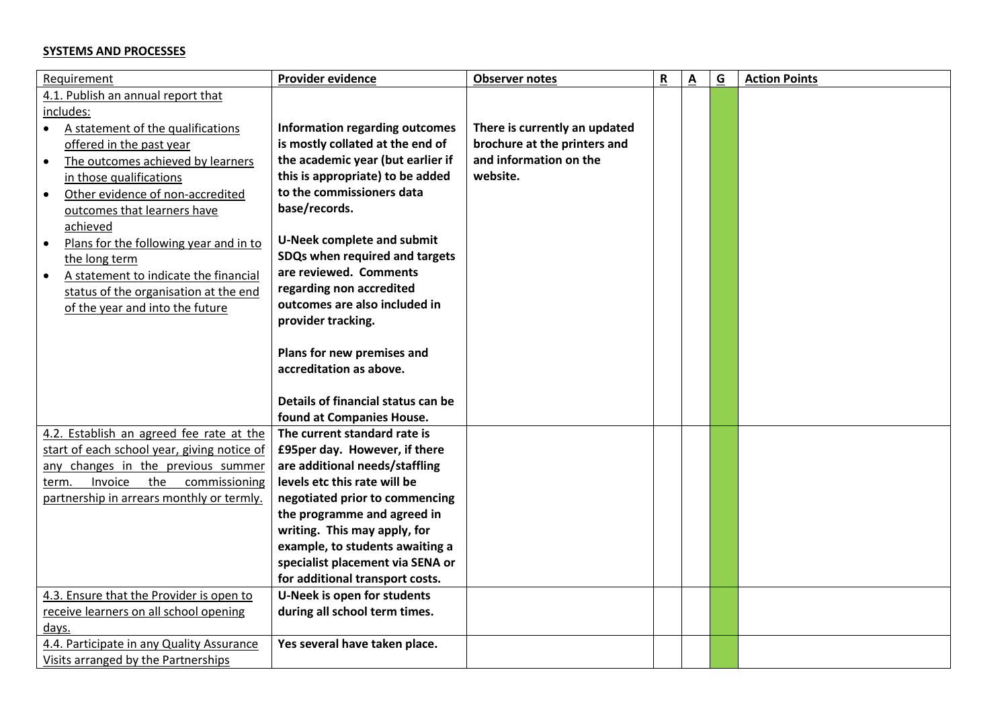## **SYSTEMS AND PROCESSES**

| Requirement                                     | Provider evidence                     | <b>Observer notes</b>         | R | $\underline{\mathbf{A}}$ | $\overline{G}$ | <b>Action Points</b> |
|-------------------------------------------------|---------------------------------------|-------------------------------|---|--------------------------|----------------|----------------------|
| 4.1. Publish an annual report that<br>includes: |                                       |                               |   |                          |                |                      |
| A statement of the qualifications<br>$\bullet$  | <b>Information regarding outcomes</b> | There is currently an updated |   |                          |                |                      |
| offered in the past year                        | is mostly collated at the end of      | brochure at the printers and  |   |                          |                |                      |
| The outcomes achieved by learners<br>$\bullet$  | the academic year (but earlier if     | and information on the        |   |                          |                |                      |
| in those qualifications                         | this is appropriate) to be added      | website.                      |   |                          |                |                      |
| Other evidence of non-accredited                | to the commissioners data             |                               |   |                          |                |                      |
| outcomes that learners have                     | base/records.                         |                               |   |                          |                |                      |
| achieved                                        |                                       |                               |   |                          |                |                      |
| Plans for the following year and in to          | <b>U-Neek complete and submit</b>     |                               |   |                          |                |                      |
| the long term                                   | SDQs when required and targets        |                               |   |                          |                |                      |
| A statement to indicate the financial           | are reviewed. Comments                |                               |   |                          |                |                      |
| status of the organisation at the end           | regarding non accredited              |                               |   |                          |                |                      |
| of the year and into the future                 | outcomes are also included in         |                               |   |                          |                |                      |
|                                                 | provider tracking.                    |                               |   |                          |                |                      |
|                                                 |                                       |                               |   |                          |                |                      |
|                                                 | Plans for new premises and            |                               |   |                          |                |                      |
|                                                 | accreditation as above.               |                               |   |                          |                |                      |
|                                                 |                                       |                               |   |                          |                |                      |
|                                                 | Details of financial status can be    |                               |   |                          |                |                      |
|                                                 | found at Companies House.             |                               |   |                          |                |                      |
| 4.2. Establish an agreed fee rate at the        | The current standard rate is          |                               |   |                          |                |                      |
| start of each school year, giving notice of     | £95per day. However, if there         |                               |   |                          |                |                      |
| any changes in the previous summer              | are additional needs/staffling        |                               |   |                          |                |                      |
| Invoice<br>the<br>commissioning<br>term.        | levels etc this rate will be          |                               |   |                          |                |                      |
| partnership in arrears monthly or termly.       | negotiated prior to commencing        |                               |   |                          |                |                      |
|                                                 | the programme and agreed in           |                               |   |                          |                |                      |
|                                                 | writing. This may apply, for          |                               |   |                          |                |                      |
|                                                 | example, to students awaiting a       |                               |   |                          |                |                      |
|                                                 | specialist placement via SENA or      |                               |   |                          |                |                      |
|                                                 | for additional transport costs.       |                               |   |                          |                |                      |
| 4.3. Ensure that the Provider is open to        | U-Neek is open for students           |                               |   |                          |                |                      |
| receive learners on all school opening          | during all school term times.         |                               |   |                          |                |                      |
| days.                                           |                                       |                               |   |                          |                |                      |
| 4.4. Participate in any Quality Assurance       | Yes several have taken place.         |                               |   |                          |                |                      |
| Visits arranged by the Partnerships             |                                       |                               |   |                          |                |                      |